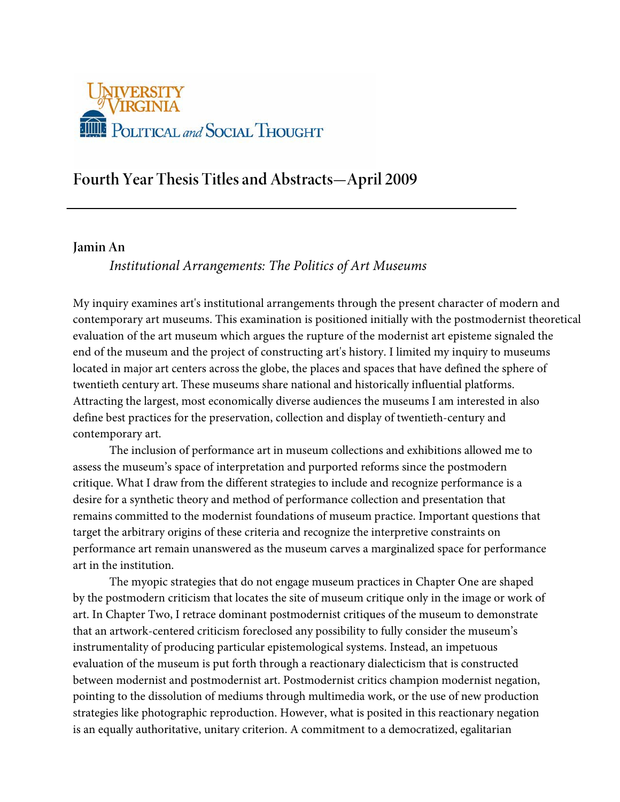

# **Fourth Year Thesis Titles and Abstracts—April 2009**

#### **Jamin An**

*Institutional Arrangements: The Politics of Art Museums*

My inquiry examines art's institutional arrangements through the present character of modern and contemporary art museums. This examination is positioned initially with the postmodernist theoretical evaluation of the art museum which argues the rupture of the modernist art episteme signaled the end of the museum and the project of constructing art's history. I limited my inquiry to museums located in major art centers across the globe, the places and spaces that have defined the sphere of twentieth century art. These museums share national and historically influential platforms. Attracting the largest, most economically diverse audiences the museums I am interested in also define best practices for the preservation, collection and display of twentieth-century and contemporary art.

The inclusion of performance art in museum collections and exhibitions allowed me to assess the museum's space of interpretation and purported reforms since the postmodern critique. What I draw from the different strategies to include and recognize performance is a desire for a synthetic theory and method of performance collection and presentation that remains committed to the modernist foundations of museum practice. Important questions that target the arbitrary origins of these criteria and recognize the interpretive constraints on performance art remain unanswered as the museum carves a marginalized space for performance art in the institution.

The myopic strategies that do not engage museum practices in Chapter One are shaped by the postmodern criticism that locates the site of museum critique only in the image or work of art. In Chapter Two, I retrace dominant postmodernist critiques of the museum to demonstrate that an artwork-centered criticism foreclosed any possibility to fully consider the museum's instrumentality of producing particular epistemological systems. Instead, an impetuous evaluation of the museum is put forth through a reactionary dialecticism that is constructed between modernist and postmodernist art. Postmodernist critics champion modernist negation, pointing to the dissolution of mediums through multimedia work, or the use of new production strategies like photographic reproduction. However, what is posited in this reactionary negation is an equally authoritative, unitary criterion. A commitment to a democratized, egalitarian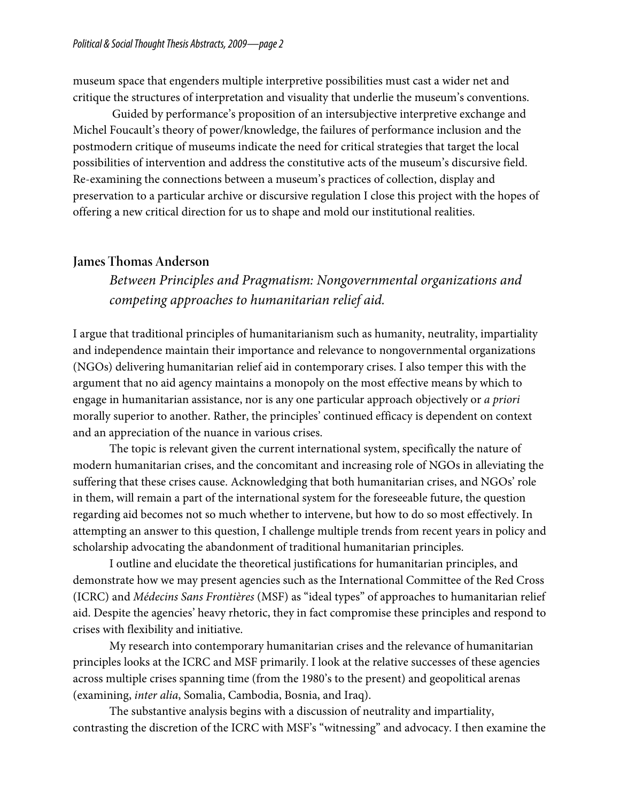museum space that engenders multiple interpretive possibilities must cast a wider net and critique the structures of interpretation and visuality that underlie the museum's conventions.

 Guided by performance's proposition of an intersubjective interpretive exchange and Michel Foucault's theory of power/knowledge, the failures of performance inclusion and the postmodern critique of museums indicate the need for critical strategies that target the local possibilities of intervention and address the constitutive acts of the museum's discursive field. Re-examining the connections between a museum's practices of collection, display and preservation to a particular archive or discursive regulation I close this project with the hopes of offering a new critical direction for us to shape and mold our institutional realities.

#### **James Thomas Anderson**

*Between Principles and Pragmatism: Nongovernmental organizations and competing approaches to humanitarian relief aid.*

I argue that traditional principles of humanitarianism such as humanity, neutrality, impartiality and independence maintain their importance and relevance to nongovernmental organizations (NGOs) delivering humanitarian relief aid in contemporary crises. I also temper this with the argument that no aid agency maintains a monopoly on the most effective means by which to engage in humanitarian assistance, nor is any one particular approach objectively or *a priori* morally superior to another. Rather, the principles' continued efficacy is dependent on context and an appreciation of the nuance in various crises.

The topic is relevant given the current international system, specifically the nature of modern humanitarian crises, and the concomitant and increasing role of NGOs in alleviating the suffering that these crises cause. Acknowledging that both humanitarian crises, and NGOs' role in them, will remain a part of the international system for the foreseeable future, the question regarding aid becomes not so much whether to intervene, but how to do so most effectively. In attempting an answer to this question, I challenge multiple trends from recent years in policy and scholarship advocating the abandonment of traditional humanitarian principles.

I outline and elucidate the theoretical justifications for humanitarian principles, and demonstrate how we may present agencies such as the International Committee of the Red Cross (ICRC) and *Médecins Sans Frontières* (MSF) as "ideal types" of approaches to humanitarian relief aid. Despite the agencies' heavy rhetoric, they in fact compromise these principles and respond to crises with flexibility and initiative.

My research into contemporary humanitarian crises and the relevance of humanitarian principles looks at the ICRC and MSF primarily. I look at the relative successes of these agencies across multiple crises spanning time (from the 1980's to the present) and geopolitical arenas (examining, *inter alia*, Somalia, Cambodia, Bosnia, and Iraq).

The substantive analysis begins with a discussion of neutrality and impartiality, contrasting the discretion of the ICRC with MSF's "witnessing" and advocacy. I then examine the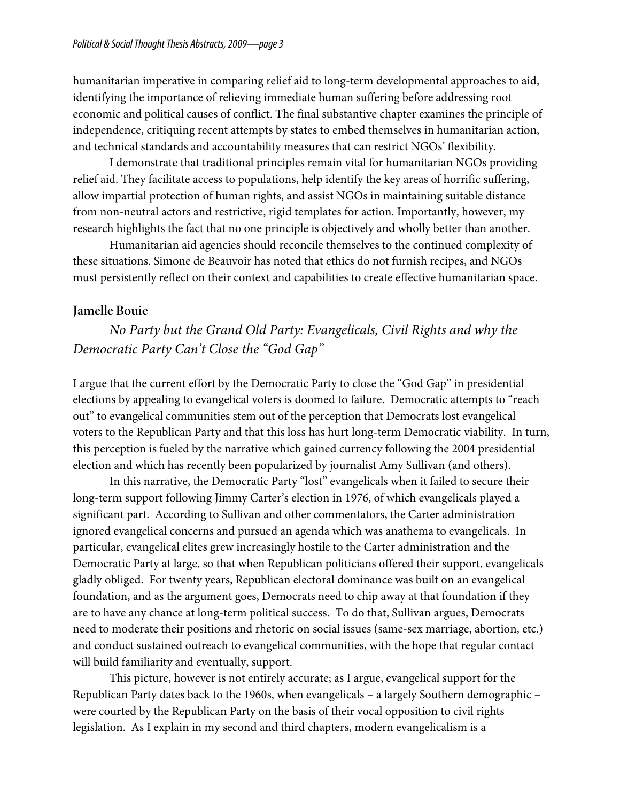humanitarian imperative in comparing relief aid to long-term developmental approaches to aid, identifying the importance of relieving immediate human suffering before addressing root economic and political causes of conflict. The final substantive chapter examines the principle of independence, critiquing recent attempts by states to embed themselves in humanitarian action, and technical standards and accountability measures that can restrict NGOs' flexibility.

I demonstrate that traditional principles remain vital for humanitarian NGOs providing relief aid. They facilitate access to populations, help identify the key areas of horrific suffering, allow impartial protection of human rights, and assist NGOs in maintaining suitable distance from non-neutral actors and restrictive, rigid templates for action. Importantly, however, my research highlights the fact that no one principle is objectively and wholly better than another.

Humanitarian aid agencies should reconcile themselves to the continued complexity of these situations. Simone de Beauvoir has noted that ethics do not furnish recipes, and NGOs must persistently reflect on their context and capabilities to create effective humanitarian space.

#### **Jamelle Bouie**

*No Party but the Grand Old Party: Evangelicals, Civil Rights and why the Democratic Party Can't Close the "God Gap"*

I argue that the current effort by the Democratic Party to close the "God Gap" in presidential elections by appealing to evangelical voters is doomed to failure. Democratic attempts to "reach out" to evangelical communities stem out of the perception that Democrats lost evangelical voters to the Republican Party and that this loss has hurt long-term Democratic viability. In turn, this perception is fueled by the narrative which gained currency following the 2004 presidential election and which has recently been popularized by journalist Amy Sullivan (and others).

In this narrative, the Democratic Party "lost" evangelicals when it failed to secure their long-term support following Jimmy Carter's election in 1976, of which evangelicals played a significant part. According to Sullivan and other commentators, the Carter administration ignored evangelical concerns and pursued an agenda which was anathema to evangelicals. In particular, evangelical elites grew increasingly hostile to the Carter administration and the Democratic Party at large, so that when Republican politicians offered their support, evangelicals gladly obliged. For twenty years, Republican electoral dominance was built on an evangelical foundation, and as the argument goes, Democrats need to chip away at that foundation if they are to have any chance at long-term political success. To do that, Sullivan argues, Democrats need to moderate their positions and rhetoric on social issues (same-sex marriage, abortion, etc.) and conduct sustained outreach to evangelical communities, with the hope that regular contact will build familiarity and eventually, support.

This picture, however is not entirely accurate; as I argue, evangelical support for the Republican Party dates back to the 1960s, when evangelicals – a largely Southern demographic – were courted by the Republican Party on the basis of their vocal opposition to civil rights legislation. As I explain in my second and third chapters, modern evangelicalism is a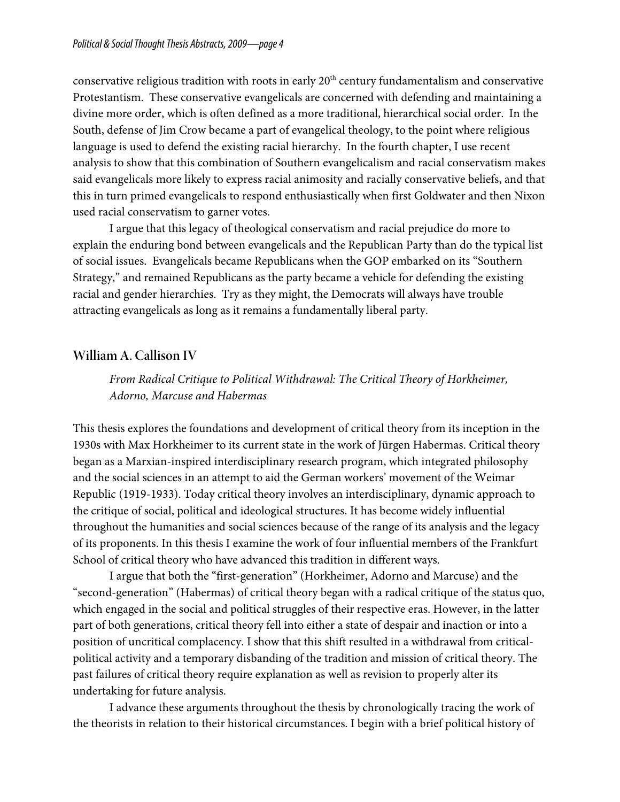conservative religious tradition with roots in early  $20<sup>th</sup>$  century fundamentalism and conservative Protestantism. These conservative evangelicals are concerned with defending and maintaining a divine more order, which is often defined as a more traditional, hierarchical social order. In the South, defense of Jim Crow became a part of evangelical theology, to the point where religious language is used to defend the existing racial hierarchy. In the fourth chapter, I use recent analysis to show that this combination of Southern evangelicalism and racial conservatism makes said evangelicals more likely to express racial animosity and racially conservative beliefs, and that this in turn primed evangelicals to respond enthusiastically when first Goldwater and then Nixon used racial conservatism to garner votes.

I argue that this legacy of theological conservatism and racial prejudice do more to explain the enduring bond between evangelicals and the Republican Party than do the typical list of social issues. Evangelicals became Republicans when the GOP embarked on its "Southern Strategy," and remained Republicans as the party became a vehicle for defending the existing racial and gender hierarchies. Try as they might, the Democrats will always have trouble attracting evangelicals as long as it remains a fundamentally liberal party.

## **William A. Callison IV**

*From Radical Critique to Political Withdrawal: The Critical Theory of Horkheimer, Adorno, Marcuse and Habermas*

This thesis explores the foundations and development of critical theory from its inception in the 1930s with Max Horkheimer to its current state in the work of Jürgen Habermas. Critical theory began as a Marxian-inspired interdisciplinary research program, which integrated philosophy and the social sciences in an attempt to aid the German workers' movement of the Weimar Republic (1919-1933). Today critical theory involves an interdisciplinary, dynamic approach to the critique of social, political and ideological structures. It has become widely influential throughout the humanities and social sciences because of the range of its analysis and the legacy of its proponents. In this thesis I examine the work of four influential members of the Frankfurt School of critical theory who have advanced this tradition in different ways.

I argue that both the "first-generation" (Horkheimer, Adorno and Marcuse) and the "second-generation" (Habermas) of critical theory began with a radical critique of the status quo, which engaged in the social and political struggles of their respective eras. However, in the latter part of both generations, critical theory fell into either a state of despair and inaction or into a position of uncritical complacency. I show that this shift resulted in a withdrawal from criticalpolitical activity and a temporary disbanding of the tradition and mission of critical theory. The past failures of critical theory require explanation as well as revision to properly alter its undertaking for future analysis.

I advance these arguments throughout the thesis by chronologically tracing the work of the theorists in relation to their historical circumstances. I begin with a brief political history of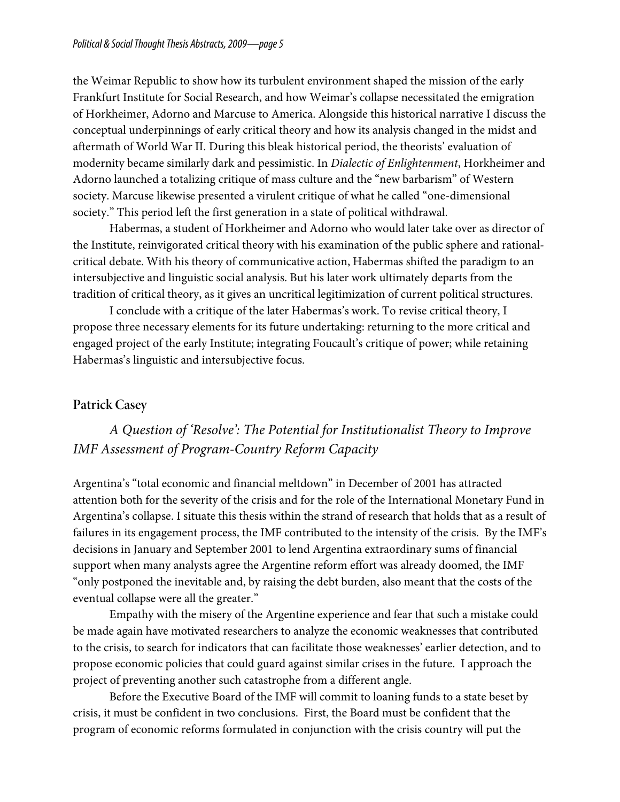the Weimar Republic to show how its turbulent environment shaped the mission of the early Frankfurt Institute for Social Research, and how Weimar's collapse necessitated the emigration of Horkheimer, Adorno and Marcuse to America. Alongside this historical narrative I discuss the conceptual underpinnings of early critical theory and how its analysis changed in the midst and aftermath of World War II. During this bleak historical period, the theorists' evaluation of modernity became similarly dark and pessimistic. In *Dialectic of Enlightenment*, Horkheimer and Adorno launched a totalizing critique of mass culture and the "new barbarism" of Western society. Marcuse likewise presented a virulent critique of what he called "one-dimensional society." This period left the first generation in a state of political withdrawal.

Habermas, a student of Horkheimer and Adorno who would later take over as director of the Institute, reinvigorated critical theory with his examination of the public sphere and rationalcritical debate. With his theory of communicative action, Habermas shifted the paradigm to an intersubjective and linguistic social analysis. But his later work ultimately departs from the tradition of critical theory, as it gives an uncritical legitimization of current political structures.

I conclude with a critique of the later Habermas's work. To revise critical theory, I propose three necessary elements for its future undertaking: returning to the more critical and engaged project of the early Institute; integrating Foucault's critique of power; while retaining Habermas's linguistic and intersubjective focus.

### **Patrick Casey**

# *A Question of 'Resolve': The Potential for Institutionalist Theory to Improve IMF Assessment of Program-Country Reform Capacity*

Argentina's "total economic and financial meltdown" in December of 2001 has attracted attention both for the severity of the crisis and for the role of the International Monetary Fund in Argentina's collapse. I situate this thesis within the strand of research that holds that as a result of failures in its engagement process, the IMF contributed to the intensity of the crisis. By the IMF's decisions in January and September 2001 to lend Argentina extraordinary sums of financial support when many analysts agree the Argentine reform effort was already doomed, the IMF "only postponed the inevitable and, by raising the debt burden, also meant that the costs of the eventual collapse were all the greater."

Empathy with the misery of the Argentine experience and fear that such a mistake could be made again have motivated researchers to analyze the economic weaknesses that contributed to the crisis, to search for indicators that can facilitate those weaknesses' earlier detection, and to propose economic policies that could guard against similar crises in the future. I approach the project of preventing another such catastrophe from a different angle.

Before the Executive Board of the IMF will commit to loaning funds to a state beset by crisis, it must be confident in two conclusions. First, the Board must be confident that the program of economic reforms formulated in conjunction with the crisis country will put the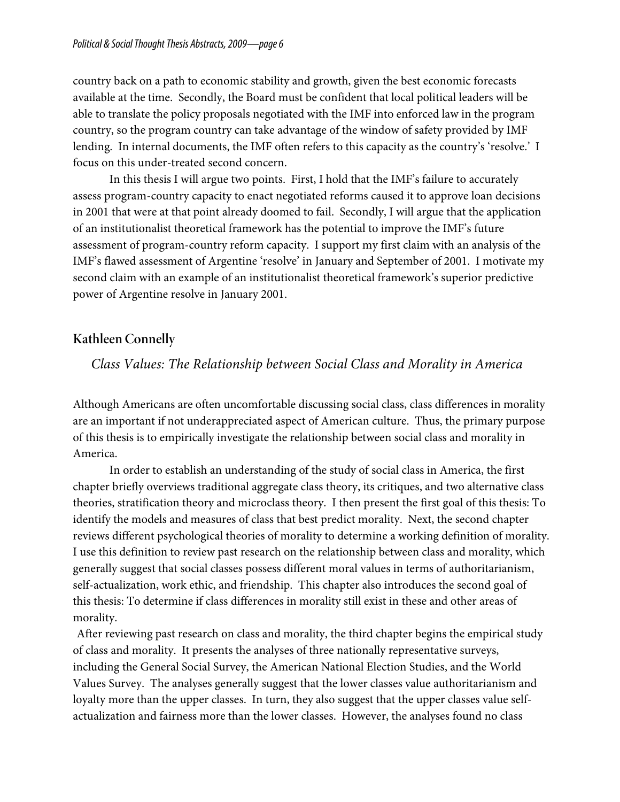country back on a path to economic stability and growth, given the best economic forecasts available at the time. Secondly, the Board must be confident that local political leaders will be able to translate the policy proposals negotiated with the IMF into enforced law in the program country, so the program country can take advantage of the window of safety provided by IMF lending. In internal documents, the IMF often refers to this capacity as the country's 'resolve.' I focus on this under-treated second concern.

In this thesis I will argue two points. First, I hold that the IMF's failure to accurately assess program-country capacity to enact negotiated reforms caused it to approve loan decisions in 2001 that were at that point already doomed to fail. Secondly, I will argue that the application of an institutionalist theoretical framework has the potential to improve the IMF's future assessment of program-country reform capacity. I support my first claim with an analysis of the IMF's flawed assessment of Argentine 'resolve' in January and September of 2001. I motivate my second claim with an example of an institutionalist theoretical framework's superior predictive power of Argentine resolve in January 2001.

## **Kathleen Connelly**

## *Class Values: The Relationship between Social Class and Morality in America*

Although Americans are often uncomfortable discussing social class, class differences in morality are an important if not underappreciated aspect of American culture. Thus, the primary purpose of this thesis is to empirically investigate the relationship between social class and morality in America.

In order to establish an understanding of the study of social class in America, the first chapter briefly overviews traditional aggregate class theory, its critiques, and two alternative class theories, stratification theory and microclass theory. I then present the first goal of this thesis: To identify the models and measures of class that best predict morality. Next, the second chapter reviews different psychological theories of morality to determine a working definition of morality. I use this definition to review past research on the relationship between class and morality, which generally suggest that social classes possess different moral values in terms of authoritarianism, self-actualization, work ethic, and friendship. This chapter also introduces the second goal of this thesis: To determine if class differences in morality still exist in these and other areas of morality.

After reviewing past research on class and morality, the third chapter begins the empirical study of class and morality. It presents the analyses of three nationally representative surveys, including the General Social Survey, the American National Election Studies, and the World Values Survey. The analyses generally suggest that the lower classes value authoritarianism and loyalty more than the upper classes. In turn, they also suggest that the upper classes value selfactualization and fairness more than the lower classes. However, the analyses found no class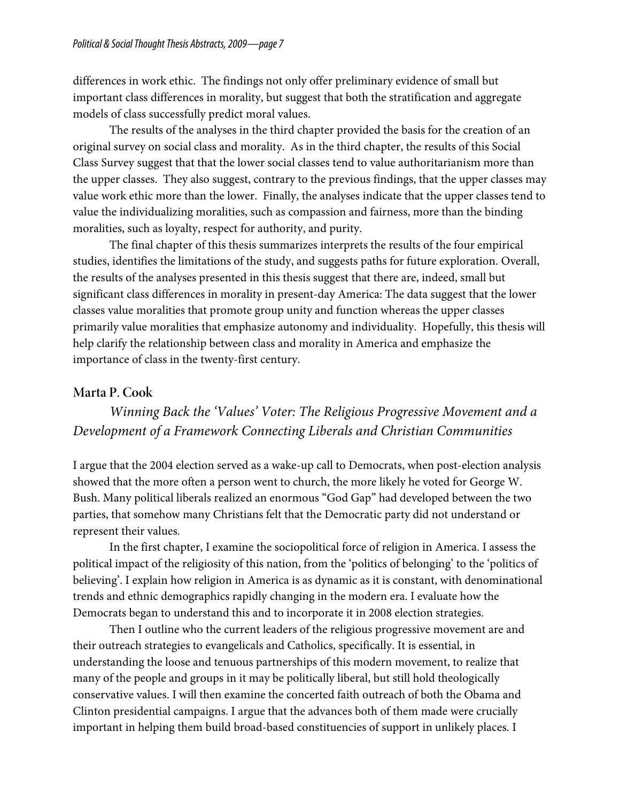differences in work ethic. The findings not only offer preliminary evidence of small but important class differences in morality, but suggest that both the stratification and aggregate models of class successfully predict moral values.

The results of the analyses in the third chapter provided the basis for the creation of an original survey on social class and morality. As in the third chapter, the results of this Social Class Survey suggest that that the lower social classes tend to value authoritarianism more than the upper classes. They also suggest, contrary to the previous findings, that the upper classes may value work ethic more than the lower. Finally, the analyses indicate that the upper classes tend to value the individualizing moralities, such as compassion and fairness, more than the binding moralities, such as loyalty, respect for authority, and purity.

The final chapter of this thesis summarizes interprets the results of the four empirical studies, identifies the limitations of the study, and suggests paths for future exploration. Overall, the results of the analyses presented in this thesis suggest that there are, indeed, small but significant class differences in morality in present-day America: The data suggest that the lower classes value moralities that promote group unity and function whereas the upper classes primarily value moralities that emphasize autonomy and individuality. Hopefully, this thesis will help clarify the relationship between class and morality in America and emphasize the importance of class in the twenty-first century.

#### **Marta P. Cook**

## *Winning Back the 'Values' Voter: The Religious Progressive Movement and a Development of a Framework Connecting Liberals and Christian Communities*

I argue that the 2004 election served as a wake-up call to Democrats, when post-election analysis showed that the more often a person went to church, the more likely he voted for George W. Bush. Many political liberals realized an enormous "God Gap" had developed between the two parties, that somehow many Christians felt that the Democratic party did not understand or represent their values.

In the first chapter, I examine the sociopolitical force of religion in America. I assess the political impact of the religiosity of this nation, from the 'politics of belonging' to the 'politics of believing'. I explain how religion in America is as dynamic as it is constant, with denominational trends and ethnic demographics rapidly changing in the modern era. I evaluate how the Democrats began to understand this and to incorporate it in 2008 election strategies.

Then I outline who the current leaders of the religious progressive movement are and their outreach strategies to evangelicals and Catholics, specifically. It is essential, in understanding the loose and tenuous partnerships of this modern movement, to realize that many of the people and groups in it may be politically liberal, but still hold theologically conservative values. I will then examine the concerted faith outreach of both the Obama and Clinton presidential campaigns. I argue that the advances both of them made were crucially important in helping them build broad-based constituencies of support in unlikely places. I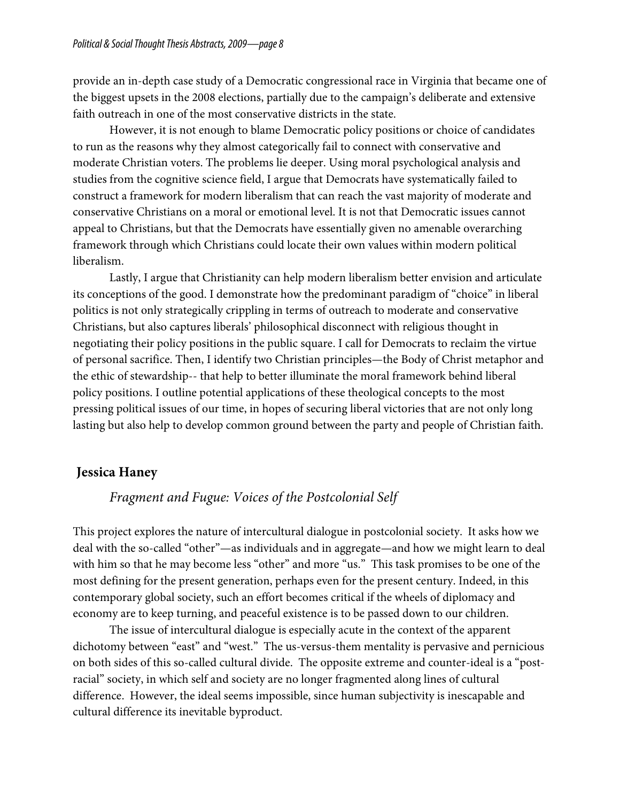provide an in-depth case study of a Democratic congressional race in Virginia that became one of the biggest upsets in the 2008 elections, partially due to the campaign's deliberate and extensive faith outreach in one of the most conservative districts in the state.

However, it is not enough to blame Democratic policy positions or choice of candidates to run as the reasons why they almost categorically fail to connect with conservative and moderate Christian voters. The problems lie deeper. Using moral psychological analysis and studies from the cognitive science field, I argue that Democrats have systematically failed to construct a framework for modern liberalism that can reach the vast majority of moderate and conservative Christians on a moral or emotional level. It is not that Democratic issues cannot appeal to Christians, but that the Democrats have essentially given no amenable overarching framework through which Christians could locate their own values within modern political liberalism.

Lastly, I argue that Christianity can help modern liberalism better envision and articulate its conceptions of the good. I demonstrate how the predominant paradigm of "choice" in liberal politics is not only strategically crippling in terms of outreach to moderate and conservative Christians, but also captures liberals' philosophical disconnect with religious thought in negotiating their policy positions in the public square. I call for Democrats to reclaim the virtue of personal sacrifice. Then, I identify two Christian principles—the Body of Christ metaphor and the ethic of stewardship-- that help to better illuminate the moral framework behind liberal policy positions. I outline potential applications of these theological concepts to the most pressing political issues of our time, in hopes of securing liberal victories that are not only long lasting but also help to develop common ground between the party and people of Christian faith.

### **Jessica Haney**

### *Fragment and Fugue: Voices of the Postcolonial Self*

This project explores the nature of intercultural dialogue in postcolonial society. It asks how we deal with the so-called "other"—as individuals and in aggregate—and how we might learn to deal with him so that he may become less "other" and more "us." This task promises to be one of the most defining for the present generation, perhaps even for the present century. Indeed, in this contemporary global society, such an effort becomes critical if the wheels of diplomacy and economy are to keep turning, and peaceful existence is to be passed down to our children.

The issue of intercultural dialogue is especially acute in the context of the apparent dichotomy between "east" and "west." The us-versus-them mentality is pervasive and pernicious on both sides of this so-called cultural divide. The opposite extreme and counter-ideal is a "postracial" society, in which self and society are no longer fragmented along lines of cultural difference. However, the ideal seems impossible, since human subjectivity is inescapable and cultural difference its inevitable byproduct.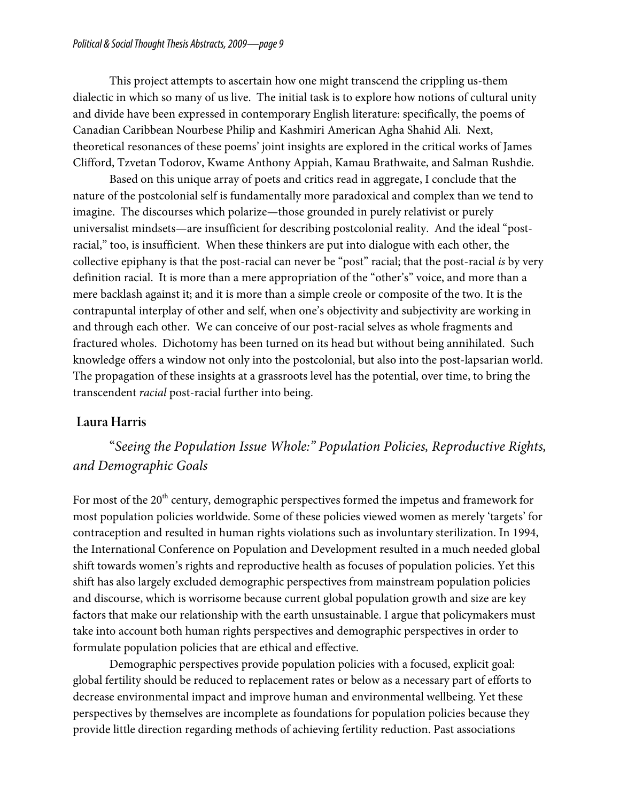This project attempts to ascertain how one might transcend the crippling us-them dialectic in which so many of us live. The initial task is to explore how notions of cultural unity and divide have been expressed in contemporary English literature: specifically, the poems of Canadian Caribbean Nourbese Philip and Kashmiri American Agha Shahid Ali. Next, theoretical resonances of these poems' joint insights are explored in the critical works of James Clifford, Tzvetan Todorov, Kwame Anthony Appiah, Kamau Brathwaite, and Salman Rushdie.

Based on this unique array of poets and critics read in aggregate, I conclude that the nature of the postcolonial self is fundamentally more paradoxical and complex than we tend to imagine. The discourses which polarize—those grounded in purely relativist or purely universalist mindsets—are insufficient for describing postcolonial reality. And the ideal "postracial," too, is insufficient. When these thinkers are put into dialogue with each other, the collective epiphany is that the post-racial can never be "post" racial; that the post-racial *is* by very definition racial. It is more than a mere appropriation of the "other's" voice, and more than a mere backlash against it; and it is more than a simple creole or composite of the two. It is the contrapuntal interplay of other and self, when one's objectivity and subjectivity are working in and through each other. We can conceive of our post-racial selves as whole fragments and fractured wholes. Dichotomy has been turned on its head but without being annihilated. Such knowledge offers a window not only into the postcolonial, but also into the post-lapsarian world. The propagation of these insights at a grassroots level has the potential, over time, to bring the transcendent *racial* post-racial further into being.

## **Laura Harris**

# "*Seeing the Population Issue Whole:" Population Policies, Reproductive Rights, and Demographic Goals*

For most of the 20<sup>th</sup> century, demographic perspectives formed the impetus and framework for most population policies worldwide. Some of these policies viewed women as merely 'targets' for contraception and resulted in human rights violations such as involuntary sterilization. In 1994, the International Conference on Population and Development resulted in a much needed global shift towards women's rights and reproductive health as focuses of population policies. Yet this shift has also largely excluded demographic perspectives from mainstream population policies and discourse, which is worrisome because current global population growth and size are key factors that make our relationship with the earth unsustainable. I argue that policymakers must take into account both human rights perspectives and demographic perspectives in order to formulate population policies that are ethical and effective.

Demographic perspectives provide population policies with a focused, explicit goal: global fertility should be reduced to replacement rates or below as a necessary part of efforts to decrease environmental impact and improve human and environmental wellbeing. Yet these perspectives by themselves are incomplete as foundations for population policies because they provide little direction regarding methods of achieving fertility reduction. Past associations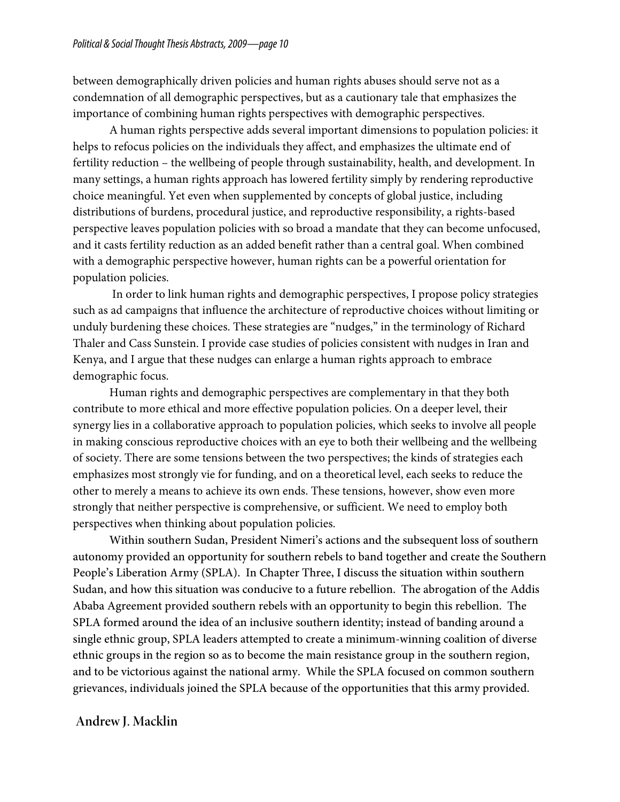between demographically driven policies and human rights abuses should serve not as a condemnation of all demographic perspectives, but as a cautionary tale that emphasizes the importance of combining human rights perspectives with demographic perspectives.

A human rights perspective adds several important dimensions to population policies: it helps to refocus policies on the individuals they affect, and emphasizes the ultimate end of fertility reduction – the wellbeing of people through sustainability, health, and development. In many settings, a human rights approach has lowered fertility simply by rendering reproductive choice meaningful. Yet even when supplemented by concepts of global justice, including distributions of burdens, procedural justice, and reproductive responsibility, a rights-based perspective leaves population policies with so broad a mandate that they can become unfocused, and it casts fertility reduction as an added benefit rather than a central goal. When combined with a demographic perspective however, human rights can be a powerful orientation for population policies.

In order to link human rights and demographic perspectives, I propose policy strategies such as ad campaigns that influence the architecture of reproductive choices without limiting or unduly burdening these choices. These strategies are "nudges," in the terminology of Richard Thaler and Cass Sunstein. I provide case studies of policies consistent with nudges in Iran and Kenya, and I argue that these nudges can enlarge a human rights approach to embrace demographic focus.

Human rights and demographic perspectives are complementary in that they both contribute to more ethical and more effective population policies. On a deeper level, their synergy lies in a collaborative approach to population policies, which seeks to involve all people in making conscious reproductive choices with an eye to both their wellbeing and the wellbeing of society. There are some tensions between the two perspectives; the kinds of strategies each emphasizes most strongly vie for funding, and on a theoretical level, each seeks to reduce the other to merely a means to achieve its own ends. These tensions, however, show even more strongly that neither perspective is comprehensive, or sufficient. We need to employ both perspectives when thinking about population policies.

Within southern Sudan, President Nimeri's actions and the subsequent loss of southern autonomy provided an opportunity for southern rebels to band together and create the Southern People's Liberation Army (SPLA). In Chapter Three, I discuss the situation within southern Sudan, and how this situation was conducive to a future rebellion. The abrogation of the Addis Ababa Agreement provided southern rebels with an opportunity to begin this rebellion. The SPLA formed around the idea of an inclusive southern identity; instead of banding around a single ethnic group, SPLA leaders attempted to create a minimum-winning coalition of diverse ethnic groups in the region so as to become the main resistance group in the southern region, and to be victorious against the national army. While the SPLA focused on common southern grievances, individuals joined the SPLA because of the opportunities that this army provided.

#### *3B* **Andrew J. Macklin**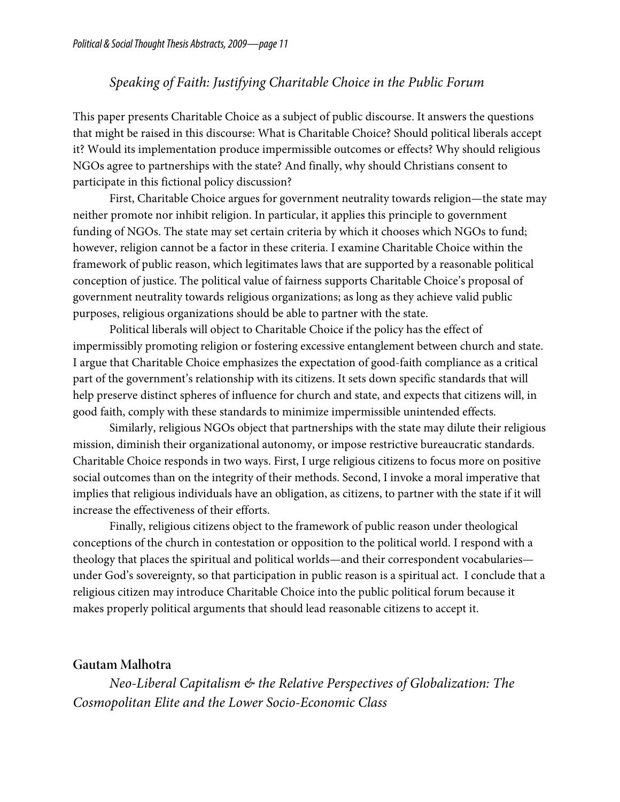### *Speaking of Faith: Justifying Charitable Choice in the Public Forum*

This paper presents Charitable Choice as a subject of public discourse. It answers the questions that might be raised in this discourse: What is Charitable Choice? Should political liberals accept it? Would its implementation produce impermissible outcomes or effects? Why should religious NGOs agree to partnerships with the state? And finally, why should Christians consent to participate in this fictional policy discussion?

First, Charitable Choice argues for government neutrality towards religion—the state may neither promote nor inhibit religion. In particular, it applies this principle to government funding of NGOs. The state may set certain criteria by which it chooses which NGOs to fund; however, religion cannot be a factor in these criteria. I examine Charitable Choice within the framework of public reason, which legitimates laws that are supported by a reasonable political conception of justice. The political value of fairness supports Charitable Choice's proposal of government neutrality towards religious organizations; as long as they achieve valid public purposes, religious organizations should be able to partner with the state.

Political liberals will object to Charitable Choice if the policy has the effect of impermissibly promoting religion or fostering excessive entanglement between church and state. I argue that Charitable Choice emphasizes the expectation of good-faith compliance as a critical part of the government's relationship with its citizens. It sets down specific standards that will help preserve distinct spheres of influence for church and state, and expects that citizens will, in good faith, comply with these standards to minimize impermissible unintended effects.

Similarly, religious NGOs object that partnerships with the state may dilute their religious mission, diminish their organizational autonomy, or impose restrictive bureaucratic standards. Charitable Choice responds in two ways. First, I urge religious citizens to focus more on positive social outcomes than on the integrity of their methods. Second, I invoke a moral imperative that implies that religious individuals have an obligation, as citizens, to partner with the state if it will increase the effectiveness of their efforts.

Finally, religious citizens object to the framework of public reason under theological conceptions of the church in contestation or opposition to the political world. I respond with a theology that places the spiritual and political worlds—and their correspondent vocabularies under God's sovereignty, so that participation in public reason is a spiritual act. I conclude that a religious citizen may introduce Charitable Choice into the public political forum because it makes properly political arguments that should lead reasonable citizens to accept it.

#### **Gautam Malhotra**

*Neo-Liberal Capitalism & the Relative Perspectives of Globalization: The Cosmopolitan Elite and the Lower Socio-Economic Class*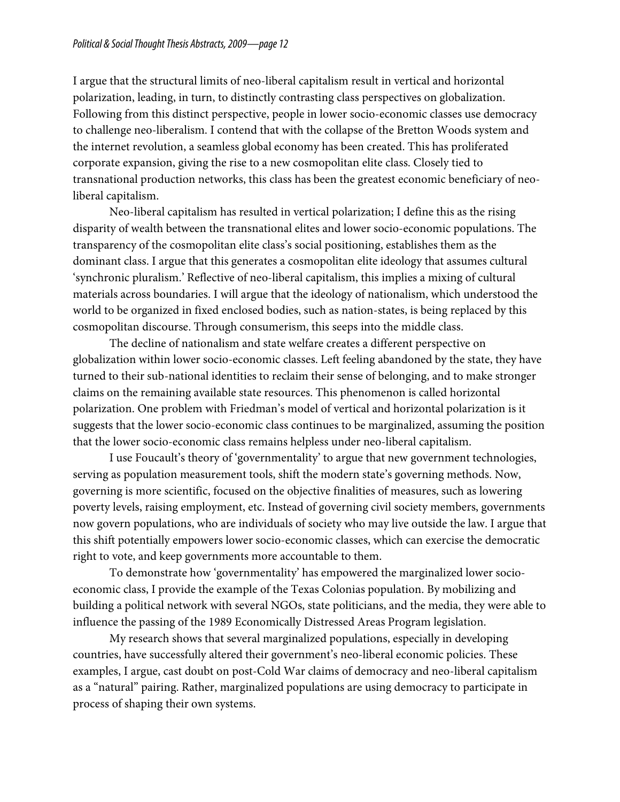I argue that the structural limits of neo-liberal capitalism result in vertical and horizontal polarization, leading, in turn, to distinctly contrasting class perspectives on globalization. Following from this distinct perspective, people in lower socio-economic classes use democracy to challenge neo-liberalism. I contend that with the collapse of the Bretton Woods system and the internet revolution, a seamless global economy has been created. This has proliferated corporate expansion, giving the rise to a new cosmopolitan elite class. Closely tied to transnational production networks, this class has been the greatest economic beneficiary of neoliberal capitalism.

Neo-liberal capitalism has resulted in vertical polarization; I define this as the rising disparity of wealth between the transnational elites and lower socio-economic populations. The transparency of the cosmopolitan elite class's social positioning, establishes them as the dominant class. I argue that this generates a cosmopolitan elite ideology that assumes cultural 'synchronic pluralism.' Reflective of neo-liberal capitalism, this implies a mixing of cultural materials across boundaries. I will argue that the ideology of nationalism, which understood the world to be organized in fixed enclosed bodies, such as nation-states, is being replaced by this cosmopolitan discourse. Through consumerism, this seeps into the middle class.

The decline of nationalism and state welfare creates a different perspective on globalization within lower socio-economic classes. Left feeling abandoned by the state, they have turned to their sub-national identities to reclaim their sense of belonging, and to make stronger claims on the remaining available state resources. This phenomenon is called horizontal polarization. One problem with Friedman's model of vertical and horizontal polarization is it suggests that the lower socio-economic class continues to be marginalized, assuming the position that the lower socio-economic class remains helpless under neo-liberal capitalism.

I use Foucault's theory of 'governmentality' to argue that new government technologies, serving as population measurement tools, shift the modern state's governing methods. Now, governing is more scientific, focused on the objective finalities of measures, such as lowering poverty levels, raising employment, etc. Instead of governing civil society members, governments now govern populations, who are individuals of society who may live outside the law. I argue that this shift potentially empowers lower socio-economic classes, which can exercise the democratic right to vote, and keep governments more accountable to them.

To demonstrate how 'governmentality' has empowered the marginalized lower socioeconomic class, I provide the example of the Texas Colonias population. By mobilizing and building a political network with several NGOs, state politicians, and the media, they were able to influence the passing of the 1989 Economically Distressed Areas Program legislation.

My research shows that several marginalized populations, especially in developing countries, have successfully altered their government's neo-liberal economic policies. These examples, I argue, cast doubt on post-Cold War claims of democracy and neo-liberal capitalism as a "natural" pairing. Rather, marginalized populations are using democracy to participate in process of shaping their own systems.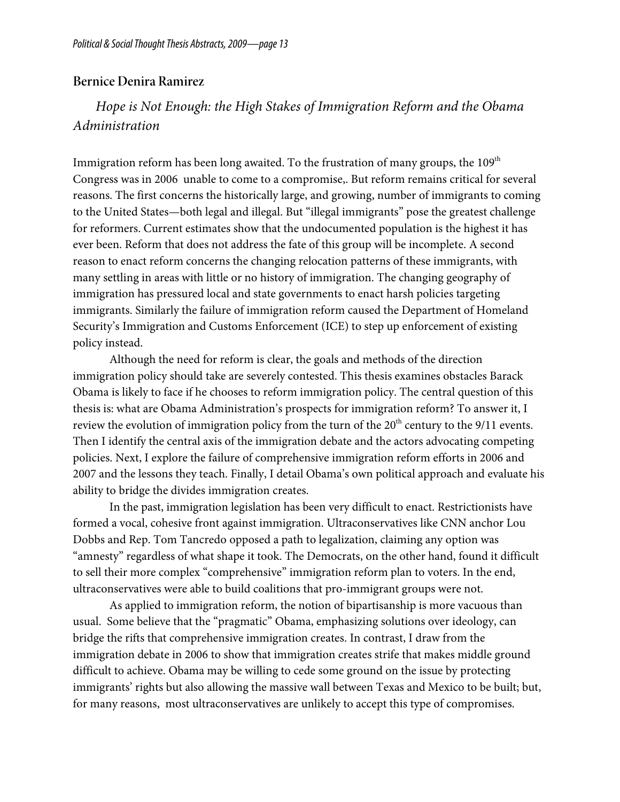#### **Bernice Denira Ramirez**

# *Hope is Not Enough: the High Stakes of Immigration Reform and the Obama Administration*

Immigration reform has been long awaited. To the frustration of many groups, the  $109<sup>th</sup>$ Congress was in 2006 unable to come to a compromise,. But reform remains critical for several reasons. The first concerns the historically large, and growing, number of immigrants to coming to the United States—both legal and illegal. But "illegal immigrants" pose the greatest challenge for reformers. Current estimates show that the undocumented population is the highest it has ever been. Reform that does not address the fate of this group will be incomplete. A second reason to enact reform concerns the changing relocation patterns of these immigrants, with many settling in areas with little or no history of immigration. The changing geography of immigration has pressured local and state governments to enact harsh policies targeting immigrants. Similarly the failure of immigration reform caused the Department of Homeland Security's Immigration and Customs Enforcement (ICE) to step up enforcement of existing policy instead.

Although the need for reform is clear, the goals and methods of the direction immigration policy should take are severely contested. This thesis examines obstacles Barack Obama is likely to face if he chooses to reform immigration policy. The central question of this thesis is: what are Obama Administration's prospects for immigration reform? To answer it, I review the evolution of immigration policy from the turn of the  $20<sup>th</sup>$  century to the  $9/11$  events. Then I identify the central axis of the immigration debate and the actors advocating competing policies. Next, I explore the failure of comprehensive immigration reform efforts in 2006 and 2007 and the lessons they teach. Finally, I detail Obama's own political approach and evaluate his ability to bridge the divides immigration creates.

In the past, immigration legislation has been very difficult to enact. Restrictionists have formed a vocal, cohesive front against immigration. Ultraconservatives like CNN anchor Lou Dobbs and Rep. Tom Tancredo opposed a path to legalization, claiming any option was "amnesty" regardless of what shape it took. The Democrats, on the other hand, found it difficult to sell their more complex "comprehensive" immigration reform plan to voters. In the end, ultraconservatives were able to build coalitions that pro-immigrant groups were not.

As applied to immigration reform, the notion of bipartisanship is more vacuous than usual. Some believe that the "pragmatic" Obama, emphasizing solutions over ideology, can bridge the rifts that comprehensive immigration creates. In contrast, I draw from the immigration debate in 2006 to show that immigration creates strife that makes middle ground difficult to achieve. Obama may be willing to cede some ground on the issue by protecting immigrants' rights but also allowing the massive wall between Texas and Mexico to be built; but, for many reasons, most ultraconservatives are unlikely to accept this type of compromises.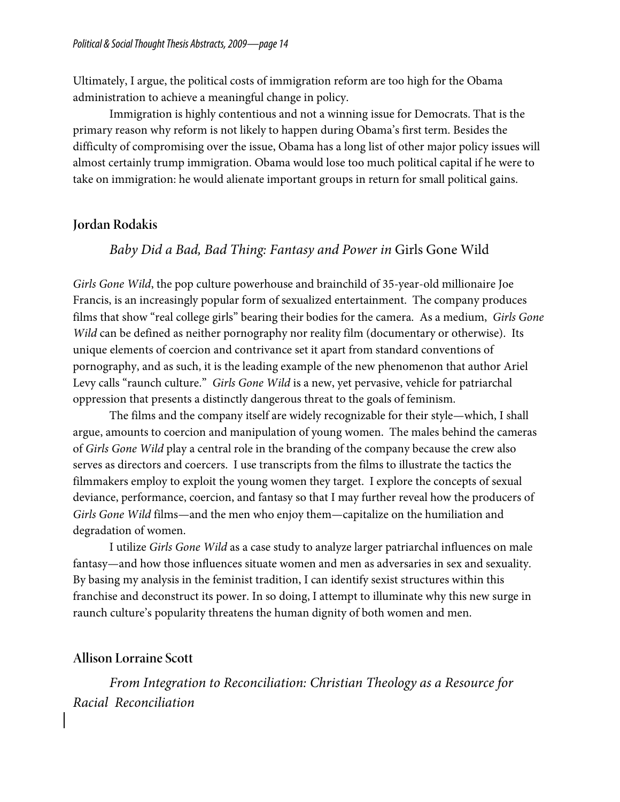Ultimately, I argue, the political costs of immigration reform are too high for the Obama administration to achieve a meaningful change in policy.

Immigration is highly contentious and not a winning issue for Democrats. That is the primary reason why reform is not likely to happen during Obama's first term. Besides the difficulty of compromising over the issue, Obama has a long list of other major policy issues will almost certainly trump immigration. Obama would lose too much political capital if he were to take on immigration: he would alienate important groups in return for small political gains.

#### **Jordan Rodakis**

#### *Baby Did a Bad, Bad Thing: Fantasy and Power in* Girls Gone Wild

*Girls Gone Wild*, the pop culture powerhouse and brainchild of 35-year-old millionaire Joe Francis, is an increasingly popular form of sexualized entertainment. The company produces films that show "real college girls" bearing their bodies for the camera. As a medium, *Girls Gone Wild* can be defined as neither pornography nor reality film (documentary or otherwise). Its unique elements of coercion and contrivance set it apart from standard conventions of pornography, and as such, it is the leading example of the new phenomenon that author Ariel Levy calls "raunch culture." *Girls Gone Wild* is a new, yet pervasive, vehicle for patriarchal oppression that presents a distinctly dangerous threat to the goals of feminism.

The films and the company itself are widely recognizable for their style—which, I shall argue, amounts to coercion and manipulation of young women. The males behind the cameras of *Girls Gone Wild* play a central role in the branding of the company because the crew also serves as directors and coercers. I use transcripts from the films to illustrate the tactics the filmmakers employ to exploit the young women they target. I explore the concepts of sexual deviance, performance, coercion, and fantasy so that I may further reveal how the producers of *Girls Gone Wild* films—and the men who enjoy them—capitalize on the humiliation and degradation of women.

I utilize *Girls Gone Wild* as a case study to analyze larger patriarchal influences on male fantasy—and how those influences situate women and men as adversaries in sex and sexuality. By basing my analysis in the feminist tradition, I can identify sexist structures within this franchise and deconstruct its power. In so doing, I attempt to illuminate why this new surge in raunch culture's popularity threatens the human dignity of both women and men.

#### **Allison Lorraine Scott**

*From Integration to Reconciliation: Christian Theology as a Resource for Racial Reconciliation*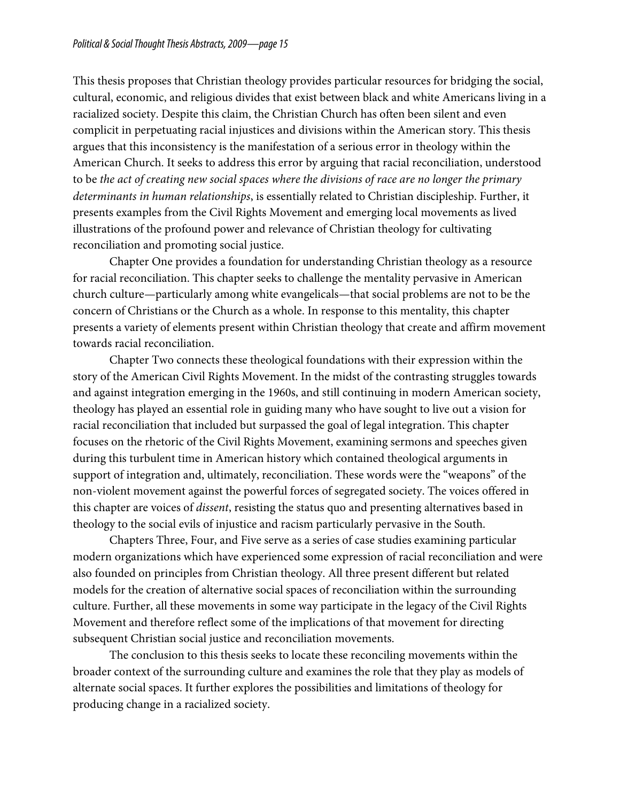This thesis proposes that Christian theology provides particular resources for bridging the social, cultural, economic, and religious divides that exist between black and white Americans living in a racialized society. Despite this claim, the Christian Church has often been silent and even complicit in perpetuating racial injustices and divisions within the American story. This thesis argues that this inconsistency is the manifestation of a serious error in theology within the American Church. It seeks to address this error by arguing that racial reconciliation, understood to be *the act of creating new social spaces where the divisions of race are no longer the primary determinants in human relationships*, is essentially related to Christian discipleship. Further, it presents examples from the Civil Rights Movement and emerging local movements as lived illustrations of the profound power and relevance of Christian theology for cultivating reconciliation and promoting social justice.

Chapter One provides a foundation for understanding Christian theology as a resource for racial reconciliation. This chapter seeks to challenge the mentality pervasive in American church culture—particularly among white evangelicals—that social problems are not to be the concern of Christians or the Church as a whole. In response to this mentality, this chapter presents a variety of elements present within Christian theology that create and affirm movement towards racial reconciliation.

Chapter Two connects these theological foundations with their expression within the story of the American Civil Rights Movement. In the midst of the contrasting struggles towards and against integration emerging in the 1960s, and still continuing in modern American society, theology has played an essential role in guiding many who have sought to live out a vision for racial reconciliation that included but surpassed the goal of legal integration. This chapter focuses on the rhetoric of the Civil Rights Movement, examining sermons and speeches given during this turbulent time in American history which contained theological arguments in support of integration and, ultimately, reconciliation. These words were the "weapons" of the non-violent movement against the powerful forces of segregated society. The voices offered in this chapter are voices of *dissent*, resisting the status quo and presenting alternatives based in theology to the social evils of injustice and racism particularly pervasive in the South.

Chapters Three, Four, and Five serve as a series of case studies examining particular modern organizations which have experienced some expression of racial reconciliation and were also founded on principles from Christian theology. All three present different but related models for the creation of alternative social spaces of reconciliation within the surrounding culture. Further, all these movements in some way participate in the legacy of the Civil Rights Movement and therefore reflect some of the implications of that movement for directing subsequent Christian social justice and reconciliation movements.

The conclusion to this thesis seeks to locate these reconciling movements within the broader context of the surrounding culture and examines the role that they play as models of alternate social spaces. It further explores the possibilities and limitations of theology for producing change in a racialized society.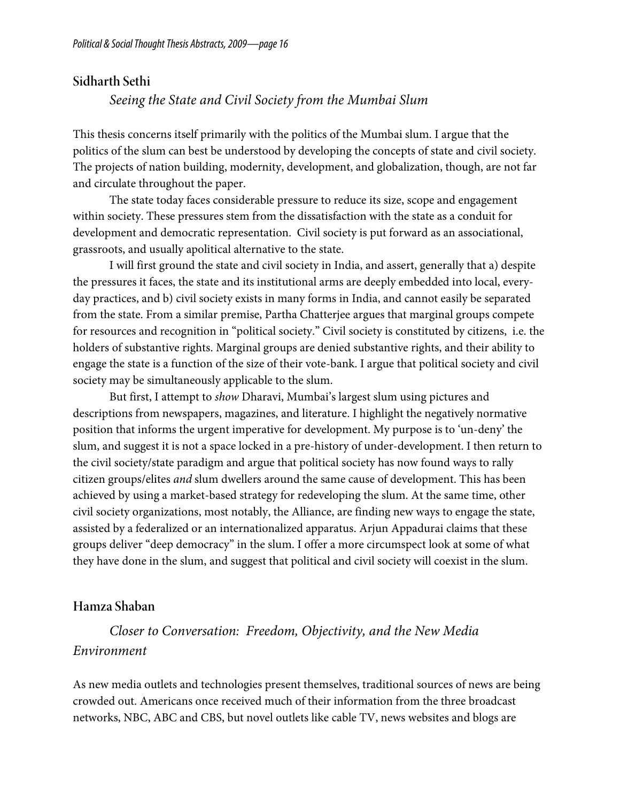#### **Sidharth Sethi**

#### *Seeing the State and Civil Society from the Mumbai Slum*

This thesis concerns itself primarily with the politics of the Mumbai slum. I argue that the politics of the slum can best be understood by developing the concepts of state and civil society. The projects of nation building, modernity, development, and globalization, though, are not far and circulate throughout the paper.

The state today faces considerable pressure to reduce its size, scope and engagement within society. These pressures stem from the dissatisfaction with the state as a conduit for development and democratic representation. Civil society is put forward as an associational, grassroots, and usually apolitical alternative to the state.

I will first ground the state and civil society in India, and assert, generally that a) despite the pressures it faces, the state and its institutional arms are deeply embedded into local, everyday practices, and b) civil society exists in many forms in India, and cannot easily be separated from the state. From a similar premise, Partha Chatterjee argues that marginal groups compete for resources and recognition in "political society." Civil society is constituted by citizens, i.e. the holders of substantive rights. Marginal groups are denied substantive rights, and their ability to engage the state is a function of the size of their vote-bank. I argue that political society and civil society may be simultaneously applicable to the slum.

 But first, I attempt to *show* Dharavi, Mumbai's largest slum using pictures and descriptions from newspapers, magazines, and literature. I highlight the negatively normative position that informs the urgent imperative for development. My purpose is to 'un-deny' the slum, and suggest it is not a space locked in a pre-history of under-development. I then return to the civil society/state paradigm and argue that political society has now found ways to rally citizen groups/elites *and* slum dwellers around the same cause of development. This has been achieved by using a market-based strategy for redeveloping the slum. At the same time, other civil society organizations, most notably, the Alliance, are finding new ways to engage the state, assisted by a federalized or an internationalized apparatus. Arjun Appadurai claims that these groups deliver "deep democracy" in the slum. I offer a more circumspect look at some of what they have done in the slum, and suggest that political and civil society will coexist in the slum.

#### **Hamza Shaban**

## *Closer to Conversation: Freedom, Objectivity, and the New Media Environment*

As new media outlets and technologies present themselves, traditional sources of news are being crowded out. Americans once received much of their information from the three broadcast networks, NBC, ABC and CBS, but novel outlets like cable TV, news websites and blogs are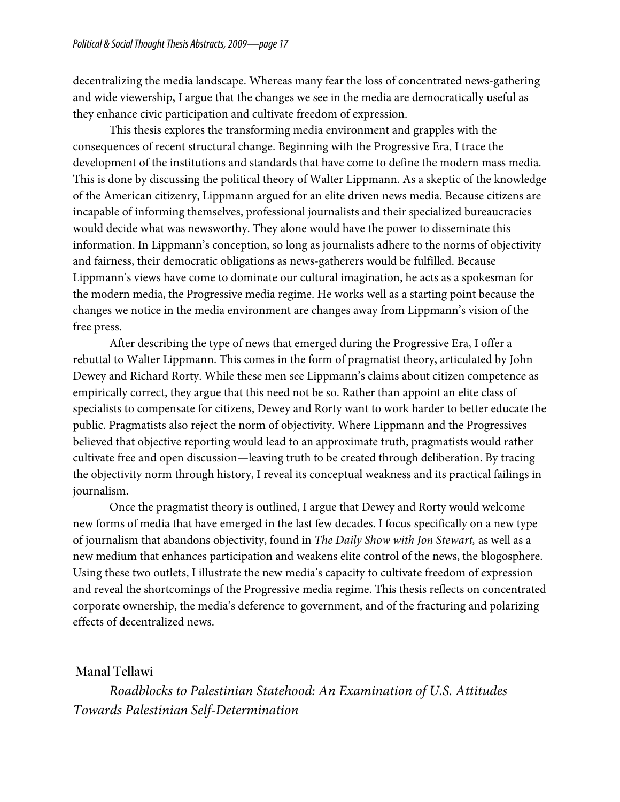decentralizing the media landscape. Whereas many fear the loss of concentrated news-gathering and wide viewership, I argue that the changes we see in the media are democratically useful as they enhance civic participation and cultivate freedom of expression.

This thesis explores the transforming media environment and grapples with the consequences of recent structural change. Beginning with the Progressive Era, I trace the development of the institutions and standards that have come to define the modern mass media. This is done by discussing the political theory of Walter Lippmann. As a skeptic of the knowledge of the American citizenry, Lippmann argued for an elite driven news media. Because citizens are incapable of informing themselves, professional journalists and their specialized bureaucracies would decide what was newsworthy. They alone would have the power to disseminate this information. In Lippmann's conception, so long as journalists adhere to the norms of objectivity and fairness, their democratic obligations as news-gatherers would be fulfilled. Because Lippmann's views have come to dominate our cultural imagination, he acts as a spokesman for the modern media, the Progressive media regime. He works well as a starting point because the changes we notice in the media environment are changes away from Lippmann's vision of the free press.

After describing the type of news that emerged during the Progressive Era, I offer a rebuttal to Walter Lippmann. This comes in the form of pragmatist theory, articulated by John Dewey and Richard Rorty. While these men see Lippmann's claims about citizen competence as empirically correct, they argue that this need not be so. Rather than appoint an elite class of specialists to compensate for citizens, Dewey and Rorty want to work harder to better educate the public. Pragmatists also reject the norm of objectivity. Where Lippmann and the Progressives believed that objective reporting would lead to an approximate truth, pragmatists would rather cultivate free and open discussion—leaving truth to be created through deliberation. By tracing the objectivity norm through history, I reveal its conceptual weakness and its practical failings in journalism.

Once the pragmatist theory is outlined, I argue that Dewey and Rorty would welcome new forms of media that have emerged in the last few decades. I focus specifically on a new type of journalism that abandons objectivity, found in *The Daily Show with Jon Stewart,* as well as a new medium that enhances participation and weakens elite control of the news, the blogosphere. Using these two outlets, I illustrate the new media's capacity to cultivate freedom of expression and reveal the shortcomings of the Progressive media regime. This thesis reflects on concentrated corporate ownership, the media's deference to government, and of the fracturing and polarizing effects of decentralized news.

#### **Manal Tellawi**

*Roadblocks to Palestinian Statehood: An Examination of U.S. Attitudes Towards Palestinian Self-Determination*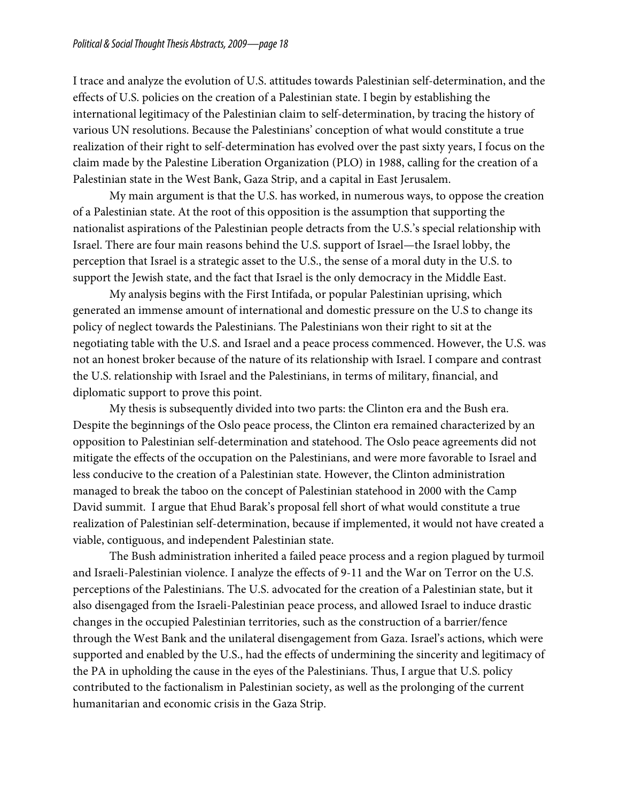I trace and analyze the evolution of U.S. attitudes towards Palestinian self-determination, and the effects of U.S. policies on the creation of a Palestinian state. I begin by establishing the international legitimacy of the Palestinian claim to self-determination, by tracing the history of various UN resolutions. Because the Palestinians' conception of what would constitute a true realization of their right to self-determination has evolved over the past sixty years, I focus on the claim made by the Palestine Liberation Organization (PLO) in 1988, calling for the creation of a Palestinian state in the West Bank, Gaza Strip, and a capital in East Jerusalem.

My main argument is that the U.S. has worked, in numerous ways, to oppose the creation of a Palestinian state. At the root of this opposition is the assumption that supporting the nationalist aspirations of the Palestinian people detracts from the U.S.'s special relationship with Israel. There are four main reasons behind the U.S. support of Israel—the Israel lobby, the perception that Israel is a strategic asset to the U.S., the sense of a moral duty in the U.S. to support the Jewish state, and the fact that Israel is the only democracy in the Middle East.

My analysis begins with the First Intifada, or popular Palestinian uprising, which generated an immense amount of international and domestic pressure on the U.S to change its policy of neglect towards the Palestinians. The Palestinians won their right to sit at the negotiating table with the U.S. and Israel and a peace process commenced. However, the U.S. was not an honest broker because of the nature of its relationship with Israel. I compare and contrast the U.S. relationship with Israel and the Palestinians, in terms of military, financial, and diplomatic support to prove this point.

My thesis is subsequently divided into two parts: the Clinton era and the Bush era. Despite the beginnings of the Oslo peace process, the Clinton era remained characterized by an opposition to Palestinian self-determination and statehood. The Oslo peace agreements did not mitigate the effects of the occupation on the Palestinians, and were more favorable to Israel and less conducive to the creation of a Palestinian state. However, the Clinton administration managed to break the taboo on the concept of Palestinian statehood in 2000 with the Camp David summit. I argue that Ehud Barak's proposal fell short of what would constitute a true realization of Palestinian self-determination, because if implemented, it would not have created a viable, contiguous, and independent Palestinian state.

The Bush administration inherited a failed peace process and a region plagued by turmoil and Israeli-Palestinian violence. I analyze the effects of 9-11 and the War on Terror on the U.S. perceptions of the Palestinians. The U.S. advocated for the creation of a Palestinian state, but it also disengaged from the Israeli-Palestinian peace process, and allowed Israel to induce drastic changes in the occupied Palestinian territories, such as the construction of a barrier/fence through the West Bank and the unilateral disengagement from Gaza. Israel's actions, which were supported and enabled by the U.S., had the effects of undermining the sincerity and legitimacy of the PA in upholding the cause in the eyes of the Palestinians. Thus, I argue that U.S. policy contributed to the factionalism in Palestinian society, as well as the prolonging of the current humanitarian and economic crisis in the Gaza Strip.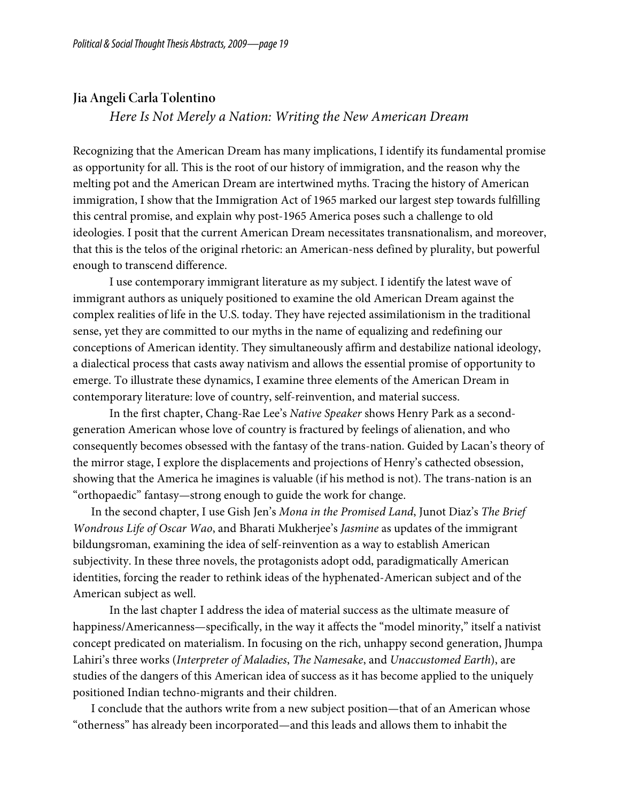#### **Jia Angeli Carla Tolentino**

*Here Is Not Merely a Nation: Writing the New American Dream*

Recognizing that the American Dream has many implications, I identify its fundamental promise as opportunity for all. This is the root of our history of immigration, and the reason why the melting pot and the American Dream are intertwined myths. Tracing the history of American immigration, I show that the Immigration Act of 1965 marked our largest step towards fulfilling this central promise, and explain why post-1965 America poses such a challenge to old ideologies. I posit that the current American Dream necessitates transnationalism, and moreover, that this is the telos of the original rhetoric: an American-ness defined by plurality, but powerful enough to transcend difference.

 I use contemporary immigrant literature as my subject. I identify the latest wave of immigrant authors as uniquely positioned to examine the old American Dream against the complex realities of life in the U.S. today. They have rejected assimilationism in the traditional sense, yet they are committed to our myths in the name of equalizing and redefining our conceptions of American identity. They simultaneously affirm and destabilize national ideology, a dialectical process that casts away nativism and allows the essential promise of opportunity to emerge. To illustrate these dynamics, I examine three elements of the American Dream in contemporary literature: love of country, self-reinvention, and material success.

In the first chapter, Chang-Rae Lee's *Native Speaker* shows Henry Park as a secondgeneration American whose love of country is fractured by feelings of alienation, and who consequently becomes obsessed with the fantasy of the trans-nation. Guided by Lacan's theory of the mirror stage, I explore the displacements and projections of Henry's cathected obsession, showing that the America he imagines is valuable (if his method is not). The trans-nation is an "orthopaedic" fantasy—strong enough to guide the work for change.

In the second chapter, I use Gish Jen's *Mona in the Promised Land*, Junot Diaz's *The Brief Wondrous Life of Oscar Wao*, and Bharati Mukherjee's *Jasmine* as updates of the immigrant bildungsroman, examining the idea of self-reinvention as a way to establish American subjectivity. In these three novels, the protagonists adopt odd, paradigmatically American identities, forcing the reader to rethink ideas of the hyphenated-American subject and of the American subject as well.

In the last chapter I address the idea of material success as the ultimate measure of happiness/Americanness—specifically, in the way it affects the "model minority," itself a nativist concept predicated on materialism. In focusing on the rich, unhappy second generation, Jhumpa Lahiri's three works (*Interpreter of Maladies*, *The Namesake*, and *Unaccustomed Earth*), are studies of the dangers of this American idea of success as it has become applied to the uniquely positioned Indian techno-migrants and their children.

I conclude that the authors write from a new subject position—that of an American whose "otherness" has already been incorporated—and this leads and allows them to inhabit the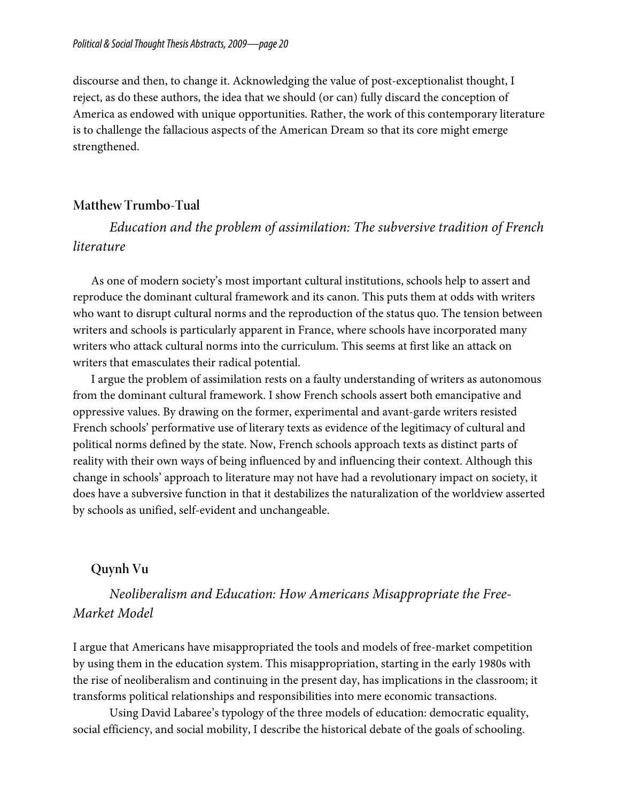discourse and then, to change it. Acknowledging the value of post-exceptionalist thought, I reject, as do these authors, the idea that we should (or can) fully discard the conception of America as endowed with unique opportunities. Rather, the work of this contemporary literature is to challenge the fallacious aspects of the American Dream so that its core might emerge strengthened.

### **Matthew Trumbo-Tual**

*Education and the problem of assimilation: The subversive tradition of French literature*

As one of modern society's most important cultural institutions, schools help to assert and reproduce the dominant cultural framework and its canon. This puts them at odds with writers who want to disrupt cultural norms and the reproduction of the status quo. The tension between writers and schools is particularly apparent in France, where schools have incorporated many writers who attack cultural norms into the curriculum. This seems at first like an attack on writers that emasculates their radical potential.

I argue the problem of assimilation rests on a faulty understanding of writers as autonomous from the dominant cultural framework. I show French schools assert both emancipative and oppressive values. By drawing on the former, experimental and avant-garde writers resisted French schools' performative use of literary texts as evidence of the legitimacy of cultural and political norms defined by the state. Now, French schools approach texts as distinct parts of reality with their own ways of being influenced by and influencing their context. Although this change in schools' approach to literature may not have had a revolutionary impact on society, it does have a subversive function in that it destabilizes the naturalization of the worldview asserted by schools as unified, self-evident and unchangeable.

## **Quynh Vu**

*Neoliberalism and Education: How Americans Misappropriate the Free-Market Model*

I argue that Americans have misappropriated the tools and models of free-market competition by using them in the education system. This misappropriation, starting in the early 1980s with the rise of neoliberalism and continuing in the present day, has implications in the classroom; it transforms political relationships and responsibilities into mere economic transactions.

Using David Labaree's typology of the three models of education: democratic equality, social efficiency, and social mobility, I describe the historical debate of the goals of schooling.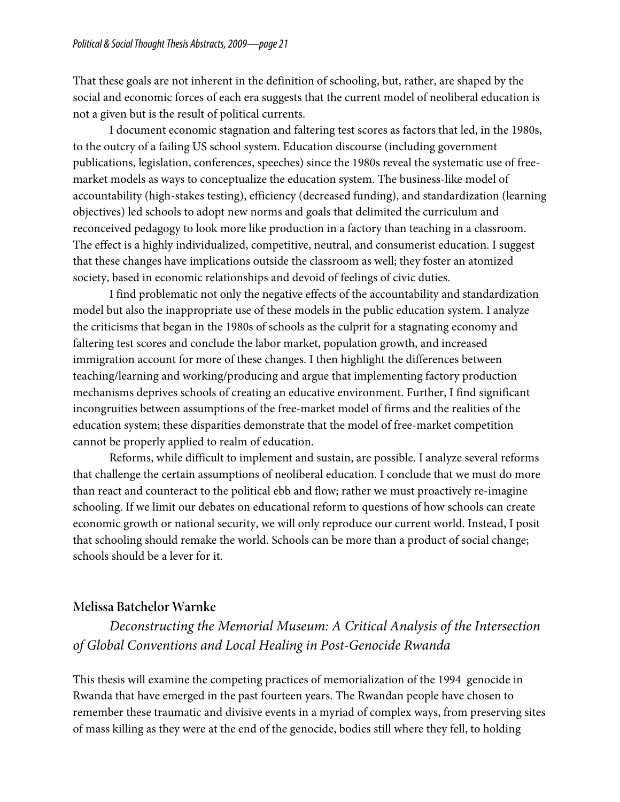That these goals are not inherent in the definition of schooling, but, rather, are shaped by the social and economic forces of each era suggests that the current model of neoliberal education is not a given but is the result of political currents.

I document economic stagnation and faltering test scores as factors that led, in the 1980s, to the outcry of a failing US school system. Education discourse (including government publications, legislation, conferences, speeches) since the 1980s reveal the systematic use of freemarket models as ways to conceptualize the education system. The business-like model of accountability (high-stakes testing), efficiency (decreased funding), and standardization (learning objectives) led schools to adopt new norms and goals that delimited the curriculum and reconceived pedagogy to look more like production in a factory than teaching in a classroom. The effect is a highly individualized, competitive, neutral, and consumerist education. I suggest that these changes have implications outside the classroom as well; they foster an atomized society, based in economic relationships and devoid of feelings of civic duties.

I find problematic not only the negative effects of the accountability and standardization model but also the inappropriate use of these models in the public education system. I analyze the criticisms that began in the 1980s of schools as the culprit for a stagnating economy and faltering test scores and conclude the labor market, population growth, and increased immigration account for more of these changes. I then highlight the differences between teaching/learning and working/producing and argue that implementing factory production mechanisms deprives schools of creating an educative environment. Further, I find significant incongruities between assumptions of the free-market model of firms and the realities of the education system; these disparities demonstrate that the model of free-market competition cannot be properly applied to realm of education.

Reforms, while difficult to implement and sustain, are possible. I analyze several reforms that challenge the certain assumptions of neoliberal education. I conclude that we must do more than react and counteract to the political ebb and flow; rather we must proactively re-imagine schooling. If we limit our debates on educational reform to questions of how schools can create economic growth or national security, we will only reproduce our current world. Instead, I posit that schooling should remake the world. Schools can be more than a product of social change; schools should be a lever for it.

### **Melissa Batchelor Warnke**

# *Deconstructing the Memorial Museum: A Critical Analysis of the Intersection of Global Conventions and Local Healing in Post-Genocide Rwanda*

This thesis will examine the competing practices of memorialization of the 1994 genocide in Rwanda that have emerged in the past fourteen years. The Rwandan people have chosen to remember these traumatic and divisive events in a myriad of complex ways, from preserving sites of mass killing as they were at the end of the genocide, bodies still where they fell, to holding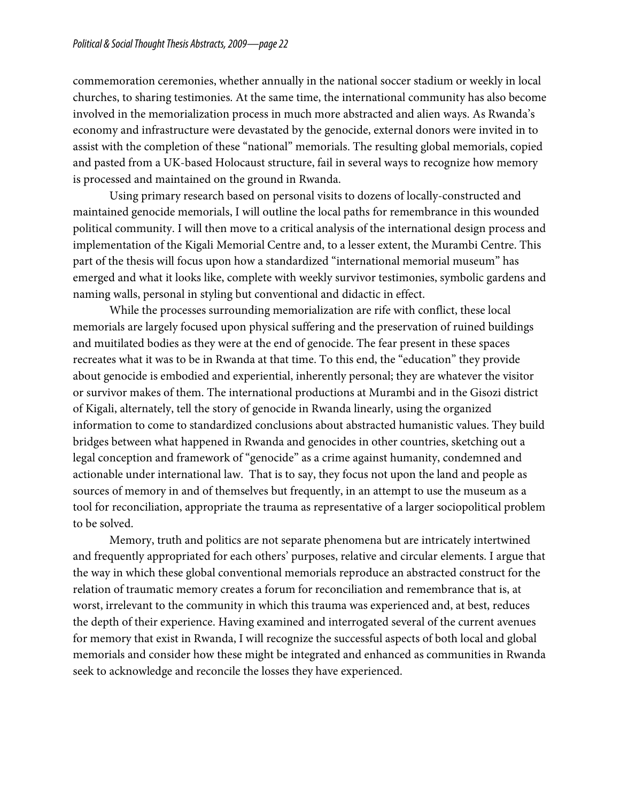commemoration ceremonies, whether annually in the national soccer stadium or weekly in local churches, to sharing testimonies. At the same time, the international community has also become involved in the memorialization process in much more abstracted and alien ways. As Rwanda's economy and infrastructure were devastated by the genocide, external donors were invited in to assist with the completion of these "national" memorials. The resulting global memorials, copied and pasted from a UK-based Holocaust structure, fail in several ways to recognize how memory is processed and maintained on the ground in Rwanda.

Using primary research based on personal visits to dozens of locally-constructed and maintained genocide memorials, I will outline the local paths for remembrance in this wounded political community. I will then move to a critical analysis of the international design process and implementation of the Kigali Memorial Centre and, to a lesser extent, the Murambi Centre. This part of the thesis will focus upon how a standardized "international memorial museum" has emerged and what it looks like, complete with weekly survivor testimonies, symbolic gardens and naming walls, personal in styling but conventional and didactic in effect.

While the processes surrounding memorialization are rife with conflict, these local memorials are largely focused upon physical suffering and the preservation of ruined buildings and muitilated bodies as they were at the end of genocide. The fear present in these spaces recreates what it was to be in Rwanda at that time. To this end, the "education" they provide about genocide is embodied and experiential, inherently personal; they are whatever the visitor or survivor makes of them. The international productions at Murambi and in the Gisozi district of Kigali, alternately, tell the story of genocide in Rwanda linearly, using the organized information to come to standardized conclusions about abstracted humanistic values. They build bridges between what happened in Rwanda and genocides in other countries, sketching out a legal conception and framework of "genocide" as a crime against humanity, condemned and actionable under international law. That is to say, they focus not upon the land and people as sources of memory in and of themselves but frequently, in an attempt to use the museum as a tool for reconciliation, appropriate the trauma as representative of a larger sociopolitical problem to be solved.

 Memory, truth and politics are not separate phenomena but are intricately intertwined and frequently appropriated for each others' purposes, relative and circular elements. I argue that the way in which these global conventional memorials reproduce an abstracted construct for the relation of traumatic memory creates a forum for reconciliation and remembrance that is, at worst, irrelevant to the community in which this trauma was experienced and, at best, reduces the depth of their experience. Having examined and interrogated several of the current avenues for memory that exist in Rwanda, I will recognize the successful aspects of both local and global memorials and consider how these might be integrated and enhanced as communities in Rwanda seek to acknowledge and reconcile the losses they have experienced.